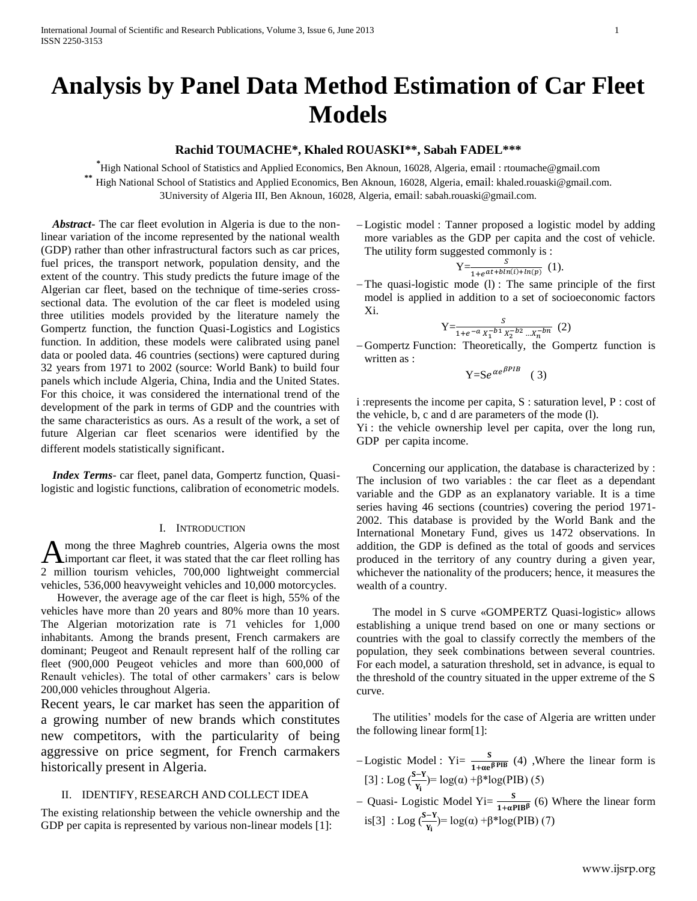International Journal of Scientific and Research Publications, Volume 3, Issue 6, June 2013 1 ISSN 2250-3153

# **Analysis by Panel Data Method Estimation of Car Fleet Models**

## **Rachid TOUMACHE\*, Khaled ROUASKI\*\*, Sabah FADEL\*\*\***

**\*** High National School of Statistics and Applied Economics, Ben Aknoun, 16028, Algeria, email : rtoumache@gmail.com **\*\*** High National School of Statistics and Applied Economics, Ben Aknoun, 16028, Algeria, email: khaled.rouaski@gmail.com.

3University of Algeria III, Ben Aknoun, 16028, Algeria, email: sabah.rouaski@gmail.com.

 *Abstract***-** The car fleet evolution in Algeria is due to the nonlinear variation of the income represented by the national wealth (GDP) rather than other infrastructural factors such as car prices, fuel prices, the transport network, population density, and the extent of the country. This study predicts the future image of the Algerian car fleet, based on the technique of time-series crosssectional data. The evolution of the car fleet is modeled using three utilities models provided by the literature namely the Gompertz function, the function Quasi-Logistics and Logistics function. In addition, these models were calibrated using panel data or pooled data. 46 countries (sections) were captured during 32 years from 1971 to 2002 (source: World Bank) to build four panels which include Algeria, China, India and the United States. For this choice, it was considered the international trend of the development of the park in terms of GDP and the countries with the same characteristics as ours. As a result of the work, a set of future Algerian car fleet scenarios were identified by the different models statistically significant.

 *Index Terms*- car fleet, panel data, Gompertz function, Quasilogistic and logistic functions, calibration of econometric models.

#### I. INTRODUCTION

mong the three Maghreb countries, Algeria owns the most important car fleet, it was stated that the car fleet rolling has 2 million tourism vehicles, 700,000 lightweight commercial vehicles, 536,000 heavyweight vehicles and 10,000 motorcycles. A

However, the average age of the car fleet is high, 55% of the vehicles have more than 20 years and 80% more than 10 years. The Algerian motorization rate is 71 vehicles for 1,000 inhabitants. Among the brands present, French carmakers are dominant; Peugeot and Renault represent half of the rolling car fleet (900,000 Peugeot vehicles and more than 600,000 of Renault vehicles). The total of other carmakers' cars is below 200,000 vehicles throughout Algeria.

Recent years, le car market has seen the apparition of a growing number of new brands which constitutes new competitors, with the particularity of being aggressive on price segment, for French carmakers historically present in Algeria.

### II. IDENTIFY, RESEARCH AND COLLECT IDEA

The existing relationship between the vehicle ownership and the GDP per capita is represented by various non-linear models [1]:

 Logistic model : Tanner proposed a logistic model by adding more variables as the GDP per capita and the cost of vehicle. The utility form suggested commonly is :

$$
Y=\frac{S}{1+e^{at+b\ln(i)+\ln(p)}}(1).
$$

 $-$ The quasi-logistic mode (1): The same principle of the first model is applied in addition to a set of socioeconomic factors Xi.

Y=
$$
\frac{S}{1+e^{-a}X_1^{-b1}X_2^{-b2}...X_n^{-b_n}}
$$
 (2)

 Gompertz Function: Theoretically, the Gompertz function is written as :

$$
Y = Se^{\alpha e^{\beta PIB}} \quad (3)
$$

i :represents the income per capita, S : saturation level, P : cost of the vehicle, b, c and d are parameters of the mode (l).

Yi : the vehicle ownership level per capita, over the long run, GDP per capita income.

Concerning our application, the database is characterized by : The inclusion of two variables : the car fleet as a dependant variable and the GDP as an explanatory variable. It is a time series having 46 sections (countries) covering the period 1971- 2002. This database is provided by the World Bank and the International Monetary Fund, gives us 1472 observations. In addition, the GDP is defined as the total of goods and services produced in the territory of any country during a given year, whichever the nationality of the producers; hence, it measures the wealth of a country.

The model in S curve «GOMPERTZ Quasi-logistic» allows establishing a unique trend based on one or many sections or countries with the goal to classify correctly the members of the population, they seek combinations between several countries. For each model, a saturation threshold, set in advance, is equal to the threshold of the country situated in the upper extreme of the S curve.

The utilities' models for the case of Algeria are written under the following linear form[1]:

- -Logistic Model : Yi=  $\frac{3}{1+\alpha e^{\beta PIB}}$  (4) , Where the linear form is [3] : Log  $\left(\frac{S-Y}{Y_1}\right) = \log(\alpha) + \beta * \log(PIB)$  (5)
- Quasi- Logistic Model Yi=  $\frac{3}{1+\alpha PB\beta}$  (6) Where the linear form is[3] : Log  $\left(\frac{S-Y}{Y_1}\right) = \log(\alpha) + \beta * \log(PIB)$  (7)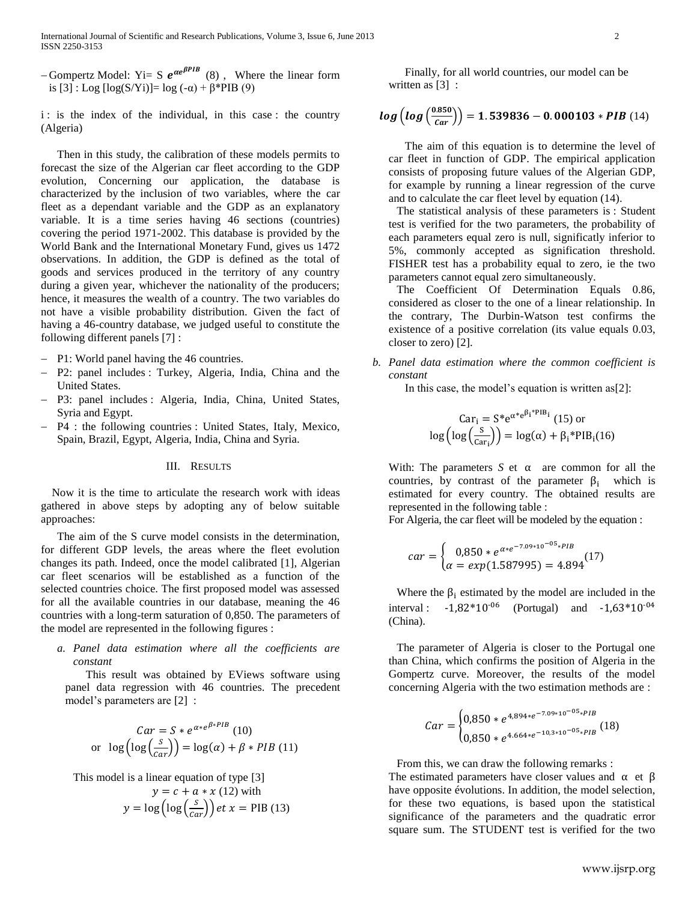-Gompertz Model: Yi= S  $e^{\alpha e^{\beta PIB}}$  (8), Where the linear form is [3] : Log [log(S/Yi)]= log (-α) + β\*PIB (9)

i : is the index of the individual, in this case : the country (Algeria)

Then in this study, the calibration of these models permits to forecast the size of the Algerian car fleet according to the GDP evolution, Concerning our application, the database is characterized by the inclusion of two variables, where the car fleet as a dependant variable and the GDP as an explanatory variable. It is a time series having 46 sections (countries) covering the period 1971-2002. This database is provided by the World Bank and the International Monetary Fund, gives us 1472 observations. In addition, the GDP is defined as the total of goods and services produced in the territory of any country during a given year, whichever the nationality of the producers; hence, it measures the wealth of a country. The two variables do not have a visible probability distribution. Given the fact of having a 46-country database, we judged useful to constitute the following different panels [7] :

- P1: World panel having the 46 countries.
- P2: panel includes : Turkey, Algeria, India, China and the United States.
- P3: panel includes : Algeria, India, China, United States, Syria and Egypt.
- P4 : the following countries : United States, Italy, Mexico, Spain, Brazil, Egypt, Algeria, India, China and Syria.

#### III. RESULTS

 Now it is the time to articulate the research work with ideas gathered in above steps by adopting any of below suitable approaches:

The aim of the S curve model consists in the determination, for different GDP levels, the areas where the fleet evolution changes its path. Indeed, once the model calibrated [1], Algerian car fleet scenarios will be established as a function of the selected countries choice. The first proposed model was assessed for all the available countries in our database, meaning the 46 countries with a long-term saturation of 0,850. The parameters of the model are represented in the following figures :

*a. Panel data estimation where all the coefficients are constant* 

 This result was obtained by EViews software using panel data regression with 46 countries. The precedent model's parameters are [2] :

$$
Car = S * e^{\alpha * e^{\beta * PIB}} (10)
$$
  
or 
$$
\log (\log (\frac{s}{car})) = \log(\alpha) + \beta * PIB (11)
$$

This model is a linear equation of type [3]

$$
y = c + a * x (12) \text{ with}
$$

$$
y = \log\left(\log\left(\frac{s}{car}\right)\right) \text{ et } x = \text{PIB (13)}
$$

Finally, for all world countries, our model can be written as [3] :

$$
log (log (\frac{0.850}{car})) = 1.539836 - 0.000103 * PIB (14)
$$

The aim of this equation is to determine the level of car fleet in function of GDP. The empirical application consists of proposing future values of the Algerian GDP, for example by running a linear regression of the curve and to calculate the car fleet level by equation (14).

The statistical analysis of these parameters is : Student test is verified for the two parameters, the probability of each parameters equal zero is null, significatly inferior to 5%, commonly accepted as signification threshold. FISHER test has a probability equal to zero, ie the two parameters cannot equal zero simultaneously.

The Coefficient Of Determination Equals 0.86, considered as closer to the one of a linear relationship. In the contrary, The Durbin-Watson test confirms the existence of a positive correlation (its value equals 0.03, closer to zero) [2].

*b. Panel data estimation where the common coefficient is constant* 

In this case, the model's equation is written as[2]:

$$
Car_i = S^* e^{\alpha^* e^{\beta_i^* PIB_i}} (15) \text{ or}
$$

$$
\log \left( \log \left( \frac{s}{car_i} \right) \right) = \log(\alpha) + \beta_i^* PIB_i(16)
$$

With: The parameters  $S$  et  $\alpha$  are common for all the countries, by contrast of the parameter  $\beta_i$  which is estimated for every country. The obtained results are represented in the following table :

For Algeria, the car fleet will be modeled by the equation :

$$
car = \begin{cases} 0.850 * e^{\alpha * e^{-7.09 * 10^{-05} * PIB}} \\ \alpha = exp(1.587995) = 4.894 \end{cases}
$$
 (17)

Where the  $\beta_i$  estimated by the model are included in the interval :  $-1,82*10^{-06}$  (Portugal) and  $-1,63*10^{-04}$ (China).

The parameter of Algeria is closer to the Portugal one than China, which confirms the position of Algeria in the Gompertz curve. Moreover, the results of the model concerning Algeria with the two estimation methods are :

$$
Car = \begin{cases} 0.850 * e^{4.894 * e^{-7.09 * 10^{-05} * PIB}} \\ 0.850 * e^{4.664 * e^{-10.3 * 10^{-05} * PIB}} \end{cases} (18)
$$

From this, we can draw the following remarks :

The estimated parameters have closer values and  $\alpha$  et  $\beta$ have opposite évolutions. In addition, the model selection, for these two equations, is based upon the statistical significance of the parameters and the quadratic error square sum. The STUDENT test is verified for the two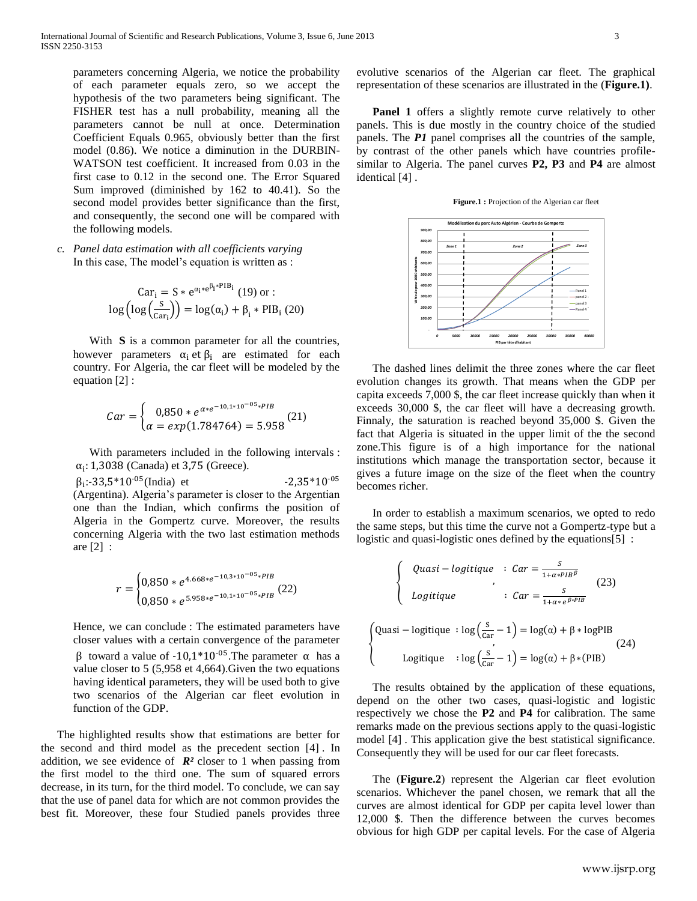parameters concerning Algeria, we notice the probability of each parameter equals zero, so we accept the hypothesis of the two parameters being significant*.* The FISHER test has a null probability, meaning all the parameters cannot be null at once. Determination Coefficient Equals 0.965, obviously better than the first model (0.86). We notice a diminution in the DURBIN-WATSON test coefficient. It increased from 0.03 in the first case to 0.12 in the second one. The Error Squared Sum improved (diminished by 162 to 40.41). So the second model provides better significance than the first, and consequently, the second one will be compared with the following models.

*c. Panel data estimation with all coefficients varying* In this case, The model's equation is written as :

$$
\text{Car}_{i} = S * e^{\alpha_{i} * e^{\beta_{i} * PIB_{i}}}
$$
 (19) or :  

$$
\log\left(\log\left(\frac{S}{\text{Car}_{i}}\right)\right) = \log(\alpha_{i}) + \beta_{i} * PIB_{i}
$$
 (20)

With **S** is a common parameter for all the countries, however parameters  $\alpha_i$  et  $\beta_i$  are estimated for each country. For Algeria, the car fleet will be modeled by the equation [2] :

$$
Car = \begin{cases} 0.850 * e^{\alpha * e^{-10.1 * 10^{-05} * PB}} \\ \alpha = exp(1.784764) = 5.958 \end{cases} (21)
$$

With parameters included in the following intervals :  $\alpha_i$ : 1,3038 (Canada) et 3,75 (Greece).

 $\beta_1$ :-33,5\*10<sup>-05</sup>(India) et -2,35\*10<sup>-0</sup> (Argentina). Algeria's parameter is closer to the Argentian one than the Indian, which confirms the position of Algeria in the Gompertz curve. Moreover, the results concerning Algeria with the two last estimation methods are [2] :

$$
r = \begin{cases} 0.850 * e^{4.668 * e^{-10.3 * 10^{-05} * PIB}} \\ 0.850 * e^{5.958 * e^{-10.1 * 10^{-05} * PIB}} \end{cases} (22)
$$

Hence, we can conclude : The estimated parameters have closer values with a certain convergence of the parameter  $\beta$  toward a value of -10,1\*10<sup>-05</sup>. The parameter  $\alpha$  has a value closer to 5 (5,958 et 4,664).Given the two equations having identical parameters, they will be used both to give two scenarios of the Algerian car fleet evolution in function of the GDP.

The highlighted results show that estimations are better for the second and third model as the precedent section [4] . In addition, we see evidence of  $\mathbb{R}^2$  closer to 1 when passing from the first model to the third one. The sum of squared errors decrease, in its turn, for the third model. To conclude, we can say that the use of panel data for which are not common provides the best fit. Moreover, these four Studied panels provides three

evolutive scenarios of the Algerian car fleet. The graphical representation of these scenarios are illustrated in the (**Figure.1)**.

**Panel 1** offers a slightly remote curve relatively to other panels. This is due mostly in the country choice of the studied panels. The *P1* panel comprises all the countries of the sample, by contrast of the other panels which have countries profilesimilar to Algeria. The panel curves **P2, P3** and **P4** are almost identical [4] .

**Figure.1 :** Projection of the Algerian car fleet



The dashed lines delimit the three zones where the car fleet evolution changes its growth. That means when the GDP per capita exceeds 7,000 \$, the car fleet increase quickly than when it exceeds 30,000 \$, the car fleet will have a decreasing growth. Finnaly, the saturation is reached beyond 35,000 \$. Given the fact that Algeria is situated in the upper limit of the the second zone.This figure is of a high importance for the national institutions which manage the transportation sector, because it gives a future image on the size of the fleet when the country becomes richer.

In order to establish a maximum scenarios, we opted to redo the same steps, but this time the curve not a Gompertz-type but a logistic and quasi-logistic ones defined by the equations[5] :

$$
\begin{cases}\n\text{Quasi} - \text{logitique} & \text{: Car} = \frac{s}{1 + \alpha * PIB^{\beta}} \\
\text{Logitique} & \text{: Car} = \frac{s}{1 + \alpha * e^{\beta * PIB}}\n\end{cases}
$$
\n(23)\n  
\nQuasi - \text{logitique} : \log\left(\frac{s}{\text{Car}} - 1\right) = \log(\alpha) + \beta \* \log PIB\n  
\nLogitique : \log\left(\frac{s}{\text{Car}} - 1\right) = \log(\alpha) + \beta \* (PIB)\n\end{cases}\n(24)

{

The results obtained by the application of these equations, depend on the other two cases, quasi-logistic and logistic respectively we chose the **P2** and **P4** for calibration. The same remarks made on the previous sections apply to the quasi-logistic model [4] . This application give the best statistical significance. Consequently they will be used for our car fleet forecasts.

The (**Figure.2**) represent the Algerian car fleet evolution scenarios. Whichever the panel chosen, we remark that all the curves are almost identical for GDP per capita level lower than 12,000 \$. Then the difference between the curves becomes obvious for high GDP per capital levels. For the case of Algeria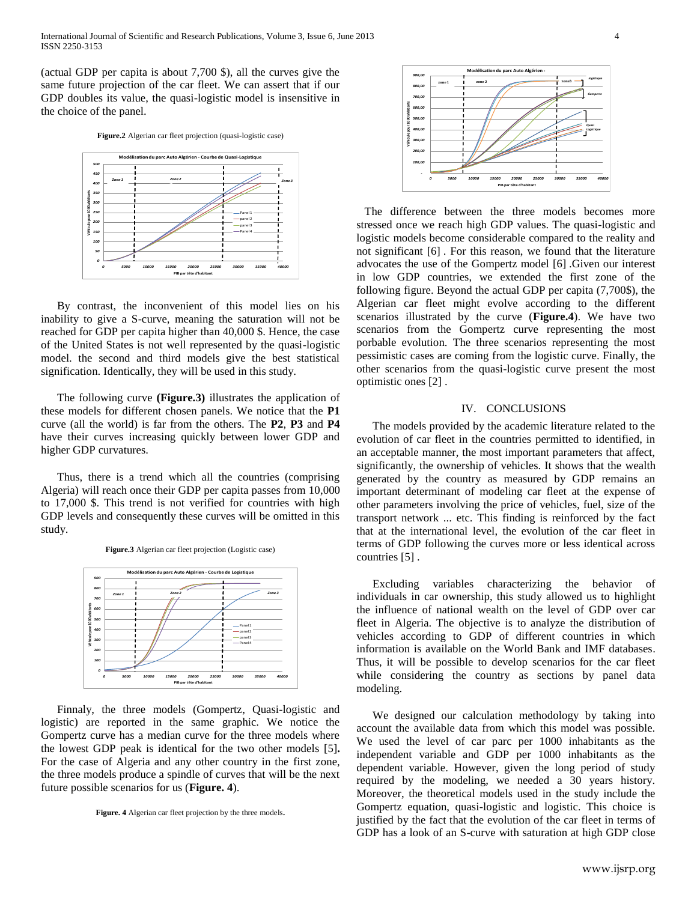(actual GDP per capita is about 7,700 \$), all the curves give the same future projection of the car fleet. We can assert that if our GDP doubles its value, the quasi-logistic model is insensitive in the choice of the panel.

**Figure.2** Algerian car fleet projection (quasi-logistic case)



By contrast, the inconvenient of this model lies on his inability to give a S-curve, meaning the saturation will not be reached for GDP per capita higher than 40,000 \$. Hence, the case of the United States is not well represented by the quasi-logistic model. the second and third models give the best statistical signification. Identically, they will be used in this study.

The following curve **(Figure.3)** illustrates the application of these models for different chosen panels. We notice that the **P1** curve (all the world) is far from the others. The **P2**, **P3** and **P4** have their curves increasing quickly between lower GDP and higher GDP curvatures.

Thus, there is a trend which all the countries (comprising Algeria) will reach once their GDP per capita passes from 10,000 to 17,000 \$. This trend is not verified for countries with high GDP levels and consequently these curves will be omitted in this study.

**Figure.3** Algerian car fleet projection (Logistic case)



Finnaly, the three models (Gompertz, Quasi-logistic and logistic) are reported in the same graphic. We notice the Gompertz curve has a median curve for the three models where the lowest GDP peak is identical for the two other models [5]**.**  For the case of Algeria and any other country in the first zone, the three models produce a spindle of curves that will be the next future possible scenarios for us (**Figure. 4**).

**Figure. 4** Algerian car fleet projection by the three models**.**



The difference between the three models becomes more stressed once we reach high GDP values. The quasi-logistic and logistic models become considerable compared to the reality and not significant [6] . For this reason, we found that the literature advocates the use of the Gompertz model [6] .Given our interest in low GDP countries, we extended the first zone of the following figure. Beyond the actual GDP per capita (7,700\$), the Algerian car fleet might evolve according to the different scenarios illustrated by the curve (**Figure.4**). We have two scenarios from the Gompertz curve representing the most porbable evolution. The three scenarios representing the most pessimistic cases are coming from the logistic curve. Finally, the other scenarios from the quasi-logistic curve present the most optimistic ones [2] .

#### IV. CONCLUSIONS

The models provided by the academic literature related to the evolution of car fleet in the countries permitted to identified, in an acceptable manner, the most important parameters that affect, significantly, the ownership of vehicles. It shows that the wealth generated by the country as measured by GDP remains an important determinant of modeling car fleet at the expense of other parameters involving the price of vehicles, fuel, size of the transport network ... etc. This finding is reinforced by the fact that at the international level, the evolution of the car fleet in terms of GDP following the curves more or less identical across countries [5] .

Excluding variables characterizing the behavior of individuals in car ownership, this study allowed us to highlight the influence of national wealth on the level of GDP over car fleet in Algeria. The objective is to analyze the distribution of vehicles according to GDP of different countries in which information is available on the World Bank and IMF databases. Thus, it will be possible to develop scenarios for the car fleet while considering the country as sections by panel data modeling.

We designed our calculation methodology by taking into account the available data from which this model was possible. We used the level of car parc per 1000 inhabitants as the independent variable and GDP per 1000 inhabitants as the dependent variable. However, given the long period of study required by the modeling, we needed a 30 years history. Moreover, the theoretical models used in the study include the Gompertz equation, quasi-logistic and logistic. This choice is justified by the fact that the evolution of the car fleet in terms of GDP has a look of an S-curve with saturation at high GDP close